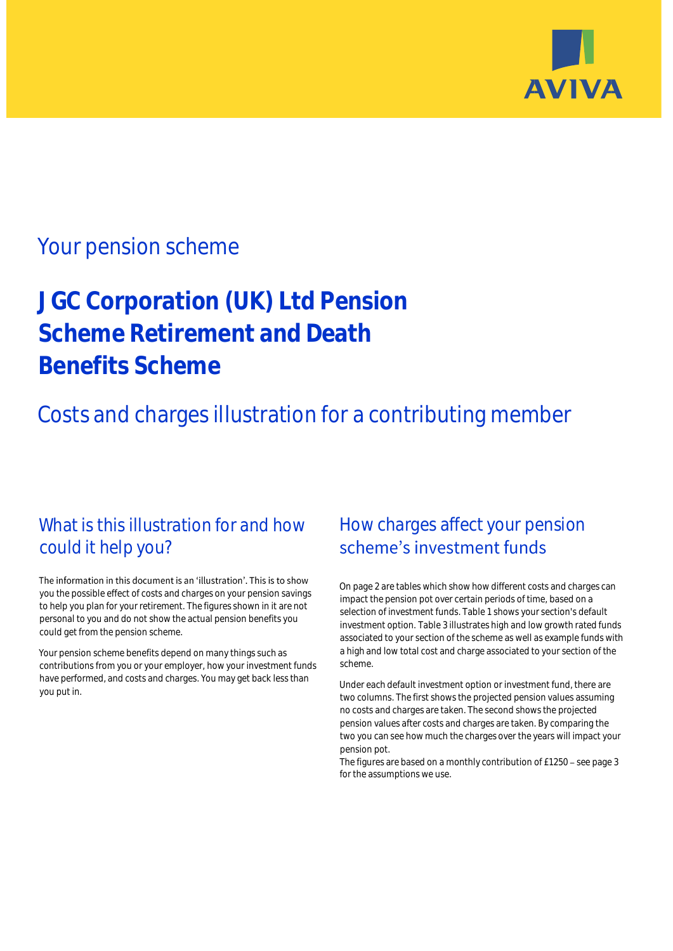

## Your pension scheme

# **JGC Corporation (UK) Ltd Pension Scheme Retirement and Death Benefits Scheme**

Costs and charges illustration for a contributing member

## What is this illustration for and how could it help you?

#### The information in this document is an 'illustration'. This is to show you the possible effect of costs and charges on your pension savings to help you plan for your retirement. The figures shown in it are not personal to you and do not show the actual pension benefits you could get from the pension scheme.

Your pension scheme benefits depend on many things such as contributions from you or your employer, how your investment funds have performed, and costs and charges. You may get back less than you put in.

## How charges affect your pension scheme's investment funds

On page 2 are tables which show how different costs and charges can impact the pension pot over certain periods of time, based on a selection of investment funds. Table 1 shows your section's default investment option. Table 3 illustrates high and low growth rated funds associated to your section of the scheme as well as example funds with a high and low total cost and charge associated to your section of the scheme.

Under each default investment option or investment fund, there are two columns. The first shows the projected pension values assuming no costs and charges are taken. The second shows the projected pension values after costs and charges are taken. By comparing the two you can see how much the charges over the years will impact your pension pot.

The figures are based on a monthly contribution of  $£1250 -$  see page 3 for the assumptions we use.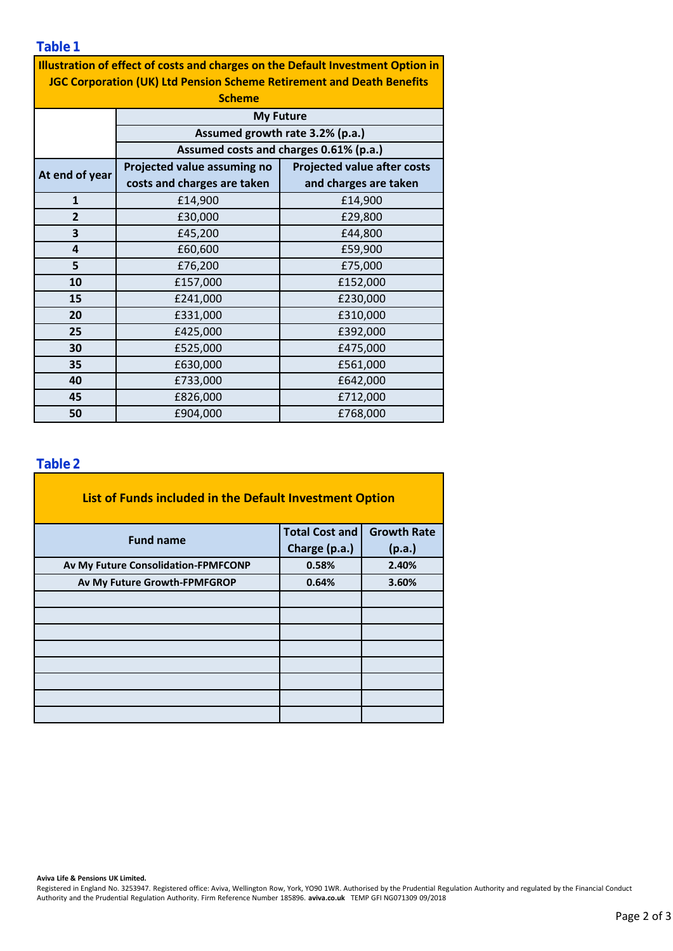**Table 1**

| Illustration of effect of costs and charges on the Default Investment Option in |                                        |                                    |  |  |  |  |
|---------------------------------------------------------------------------------|----------------------------------------|------------------------------------|--|--|--|--|
| <b>JGC Corporation (UK) Ltd Pension Scheme Retirement and Death Benefits</b>    |                                        |                                    |  |  |  |  |
| <b>Scheme</b>                                                                   |                                        |                                    |  |  |  |  |
|                                                                                 | <b>My Future</b>                       |                                    |  |  |  |  |
|                                                                                 | Assumed growth rate 3.2% (p.a.)        |                                    |  |  |  |  |
|                                                                                 | Assumed costs and charges 0.61% (p.a.) |                                    |  |  |  |  |
| At end of year                                                                  | Projected value assuming no            | <b>Projected value after costs</b> |  |  |  |  |
|                                                                                 | costs and charges are taken            | and charges are taken              |  |  |  |  |
| $\mathbf{1}$                                                                    | £14,900                                | £14,900                            |  |  |  |  |
| $\overline{2}$                                                                  | £30,000                                | £29,800                            |  |  |  |  |
| 3                                                                               | £45,200                                | £44,800                            |  |  |  |  |
| 4                                                                               | £60,600                                | £59,900                            |  |  |  |  |
| 5                                                                               | £76,200                                | £75,000                            |  |  |  |  |
| 10                                                                              | £157,000                               | £152,000                           |  |  |  |  |
| 15                                                                              | £241,000                               | £230,000                           |  |  |  |  |
| 20                                                                              | £331,000                               | £310,000                           |  |  |  |  |
| 25                                                                              | £425,000                               | £392,000                           |  |  |  |  |
| 30                                                                              | £525,000                               | £475,000                           |  |  |  |  |
| 35                                                                              | £630,000                               | £561,000                           |  |  |  |  |
| 40                                                                              | £733,000                               | £642,000                           |  |  |  |  |
| 45                                                                              | £826,000                               | £712,000                           |  |  |  |  |
| 50                                                                              | £904,000                               | £768,000                           |  |  |  |  |

#### **Table 2**

| List of Funds included in the Default Investment Option |                       |                    |
|---------------------------------------------------------|-----------------------|--------------------|
| <b>Fund name</b>                                        | <b>Total Cost and</b> | <b>Growth Rate</b> |
|                                                         | Charge (p.a.)         | (p.a.)             |
| Av My Future Consolidation-FPMFCONP                     | 0.58%                 | 2.40%              |
| Av My Future Growth-FPMFGROP                            | 0.64%                 | 3.60%              |
|                                                         |                       |                    |
|                                                         |                       |                    |
|                                                         |                       |                    |
|                                                         |                       |                    |
|                                                         |                       |                    |
|                                                         |                       |                    |
|                                                         |                       |                    |
|                                                         |                       |                    |

**Aviva Life & Pensions UK Limited.**

Registered in England No. 3253947. Registered office: Aviva, Wellington Row, York, YO90 1WR. Authorised by the Prudential Regulation Authority and regulated by the Financial Conduct Authority and the Prudential Regulation Authority. Firm Reference Number 185896. **aviva.co.uk** TEMP GFI NG071309 09/2018